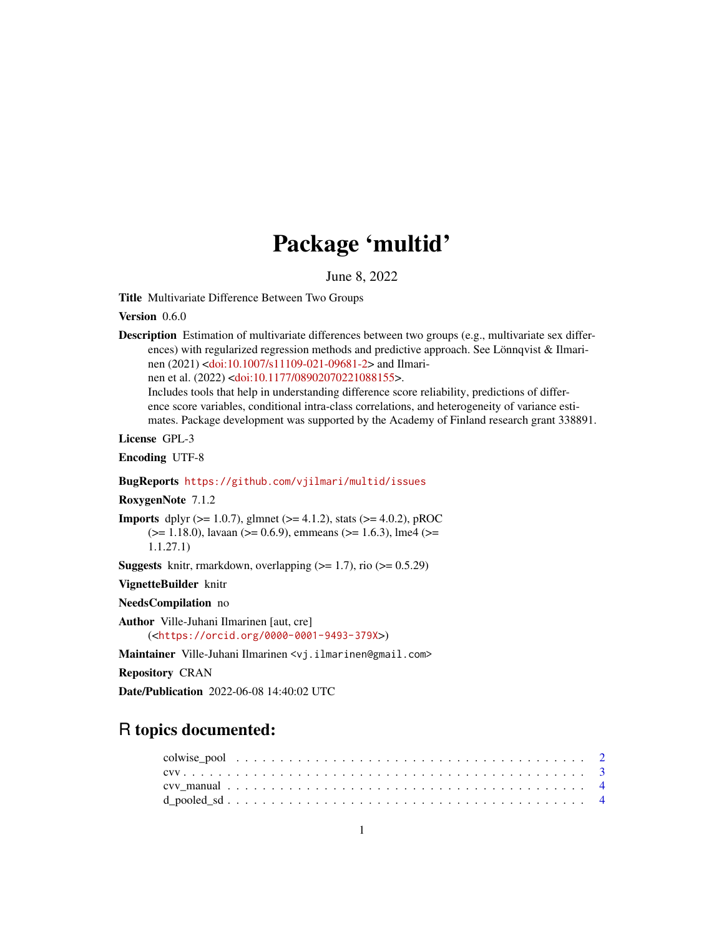## Package 'multid'

June 8, 2022

<span id="page-0-0"></span>Title Multivariate Difference Between Two Groups

Version 0.6.0

**Description** Estimation of multivariate differences between two groups (e.g., multivariate sex differences) with regularized regression methods and predictive approach. See Lönnqvist & Ilmarinen (2021) [<doi:10.1007/s11109-021-09681-2>](https://doi.org/10.1007/s11109-021-09681-2) and Ilmarinen et al. (2022) [<doi:10.1177/08902070221088155>](https://doi.org/10.1177/08902070221088155).

Includes tools that help in understanding difference score reliability, predictions of difference score variables, conditional intra-class correlations, and heterogeneity of variance estimates. Package development was supported by the Academy of Finland research grant 338891.

License GPL-3

Encoding UTF-8

## BugReports <https://github.com/vjilmari/multid/issues>

RoxygenNote 7.1.2

**Imports** dplyr ( $>= 1.0.7$ ), glmnet ( $>= 4.1.2$ ), stats ( $>= 4.0.2$ ), pROC  $(>= 1.18.0)$ , lavaan  $(>= 0.6.9)$ , emmeans  $(>= 1.6.3)$ , lme4  $(>= 1.6.3)$ 1.1.27.1)

**Suggests** knitr, rmarkdown, overlapping  $(>= 1.7)$ , rio  $(>= 0.5.29)$ 

VignetteBuilder knitr

NeedsCompilation no

Author Ville-Juhani Ilmarinen [aut, cre] (<<https://orcid.org/0000-0001-9493-379X>>)

Maintainer Ville-Juhani Ilmarinen <vj.ilmarinen@gmail.com>

Repository CRAN

Date/Publication 2022-06-08 14:40:02 UTC

## R topics documented: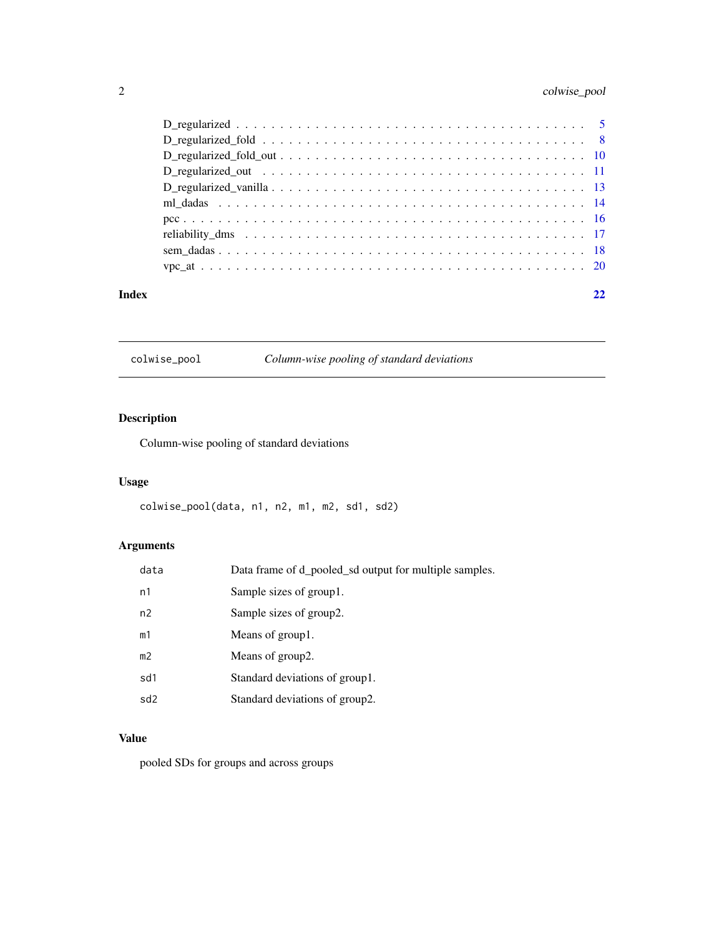## <span id="page-1-0"></span>2 colwise\_pool

#### **Index** [22](#page-21-0)

colwise\_pool *Column-wise pooling of standard deviations*

## Description

Column-wise pooling of standard deviations

## Usage

colwise\_pool(data, n1, n2, m1, m2, sd1, sd2)

## Arguments

| data            | Data frame of d_pooled_sd output for multiple samples. |
|-----------------|--------------------------------------------------------|
| n1              | Sample sizes of group1.                                |
| n2              | Sample sizes of group2.                                |
| m1              | Means of group1.                                       |
| m <sub>2</sub>  | Means of group2.                                       |
| sd1             | Standard deviations of group1.                         |
| sd <sub>2</sub> | Standard deviations of group2.                         |

## Value

pooled SDs for groups and across groups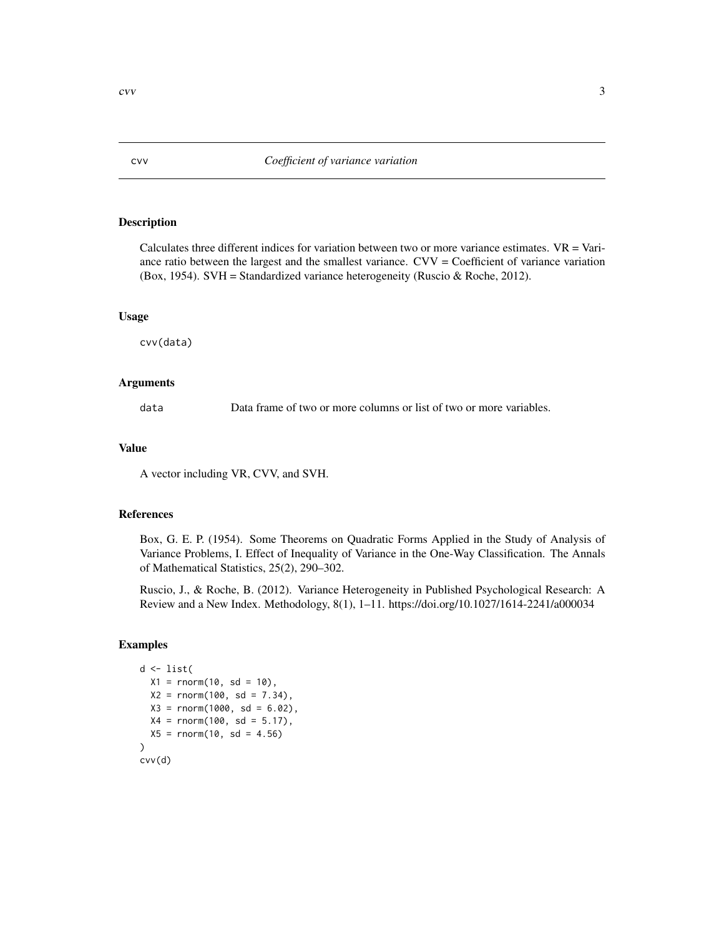## Description

Calculates three different indices for variation between two or more variance estimates.  $VR = Vari$ ance ratio between the largest and the smallest variance. CVV = Coefficient of variance variation (Box, 1954). SVH = Standardized variance heterogeneity (Ruscio & Roche, 2012).

#### Usage

cvv(data)

## Arguments

data Data frame of two or more columns or list of two or more variables.

#### Value

A vector including VR, CVV, and SVH.

#### References

Box, G. E. P. (1954). Some Theorems on Quadratic Forms Applied in the Study of Analysis of Variance Problems, I. Effect of Inequality of Variance in the One-Way Classification. The Annals of Mathematical Statistics, 25(2), 290–302.

Ruscio, J., & Roche, B. (2012). Variance Heterogeneity in Published Psychological Research: A Review and a New Index. Methodology, 8(1), 1–11. https://doi.org/10.1027/1614-2241/a000034

## Examples

```
d <- list(
 X1 = rnorm(10, sd = 10),X2 = rnorm(100, sd = 7.34),X3 = rnorm(1000, sd = 6.02),
 X4 = rnorm(100, sd = 5.17),
 X5 = rnorm(10, sd = 4.56)\mathcal{L}cvv(d)
```
<span id="page-2-0"></span> $\mathbf{c}$ vv  $\mathbf{c}$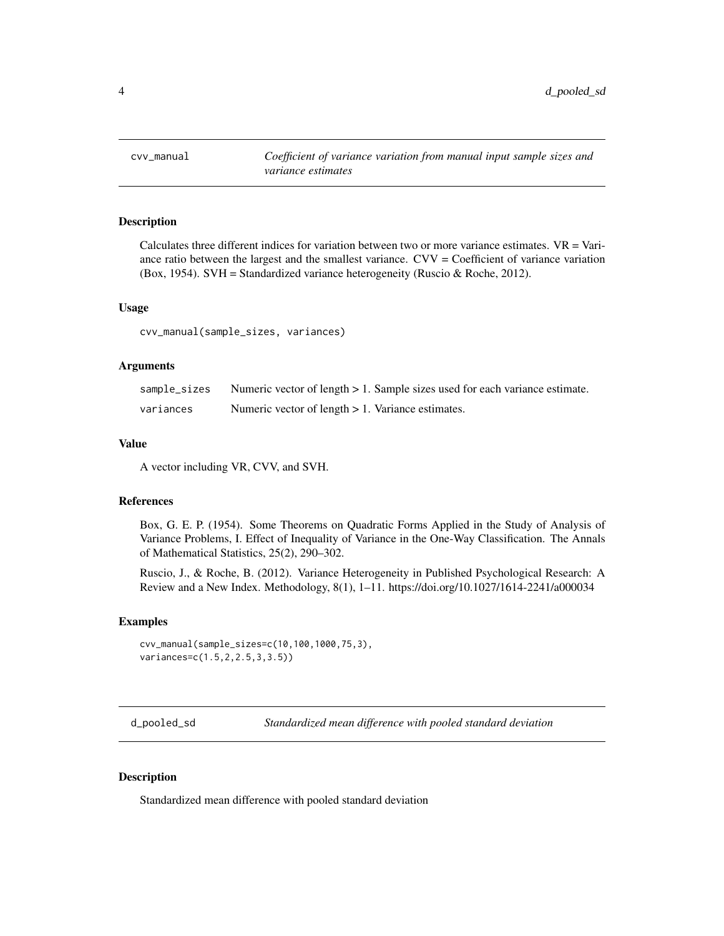<span id="page-3-0"></span>cvv\_manual *Coefficient of variance variation from manual input sample sizes and variance estimates*

## Description

Calculates three different indices for variation between two or more variance estimates.  $VR = Vari$ ance ratio between the largest and the smallest variance. CVV = Coefficient of variance variation (Box, 1954). SVH = Standardized variance heterogeneity (Ruscio & Roche, 2012).

#### Usage

cvv\_manual(sample\_sizes, variances)

#### Arguments

| sample_sizes | Numeric vector of length $> 1$ . Sample sizes used for each variance estimate. |
|--------------|--------------------------------------------------------------------------------|
| variances    | Numeric vector of length $> 1$ . Variance estimates.                           |

#### Value

A vector including VR, CVV, and SVH.

#### References

Box, G. E. P. (1954). Some Theorems on Quadratic Forms Applied in the Study of Analysis of Variance Problems, I. Effect of Inequality of Variance in the One-Way Classification. The Annals of Mathematical Statistics, 25(2), 290–302.

Ruscio, J., & Roche, B. (2012). Variance Heterogeneity in Published Psychological Research: A Review and a New Index. Methodology, 8(1), 1–11. https://doi.org/10.1027/1614-2241/a000034

#### Examples

```
cvv_manual(sample_sizes=c(10,100,1000,75,3),
variances=c(1.5,2,2.5,3,3.5))
```
d\_pooled\_sd *Standardized mean difference with pooled standard deviation*

#### Description

Standardized mean difference with pooled standard deviation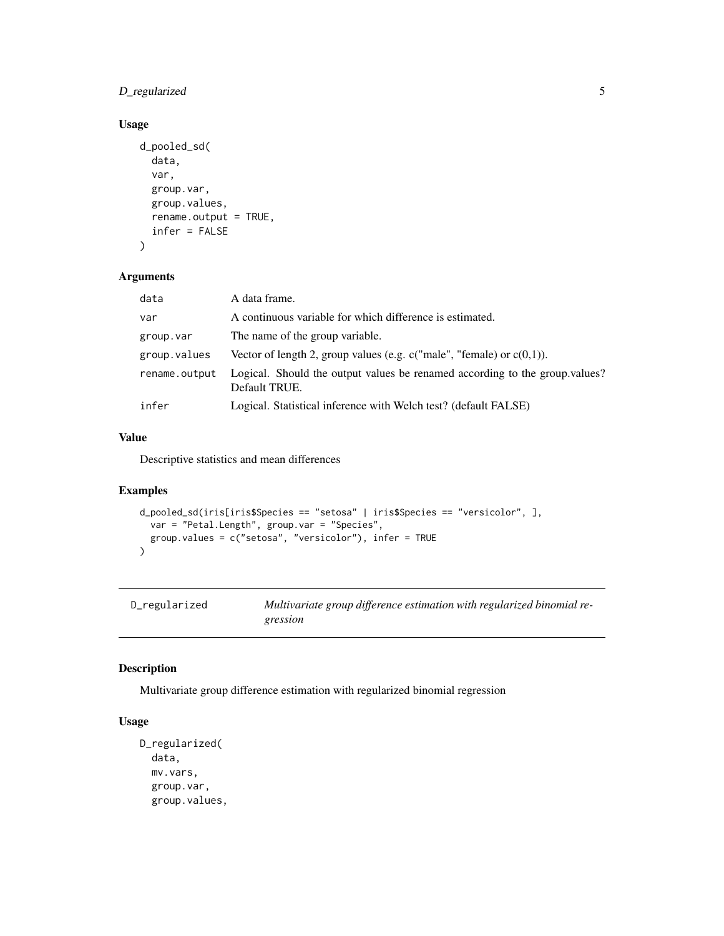## <span id="page-4-0"></span>D\_regularized 5

## Usage

```
d_pooled_sd(
  data,
  var,
  group.var,
  group.values,
 rename.output = TRUE,
  infer = FALSE
)
```
## Arguments

| data          | A data frame.                                                                                |
|---------------|----------------------------------------------------------------------------------------------|
| var           | A continuous variable for which difference is estimated.                                     |
| group.var     | The name of the group variable.                                                              |
| group.values  | Vector of length 2, group values (e.g. $c("male", "female)$ or $c(0,1)$ ).                   |
| rename.output | Logical. Should the output values be renamed according to the group.values?<br>Default TRUE. |
| infer         | Logical. Statistical inference with Welch test? (default FALSE)                              |

## Value

Descriptive statistics and mean differences

#### Examples

```
d_pooled_sd(iris[iris$Species == "setosa" | iris$Species == "versicolor", ],
  var = "Petal.Length", group.var = "Species",
  group.values = c("setosa", "versicolor"), infer = TRUE
\mathcal{L}
```
D\_regularized *Multivariate group difference estimation with regularized binomial regression*

#### Description

Multivariate group difference estimation with regularized binomial regression

## Usage

```
D_regularized(
  data,
 mv.vars,
  group.var,
  group.values,
```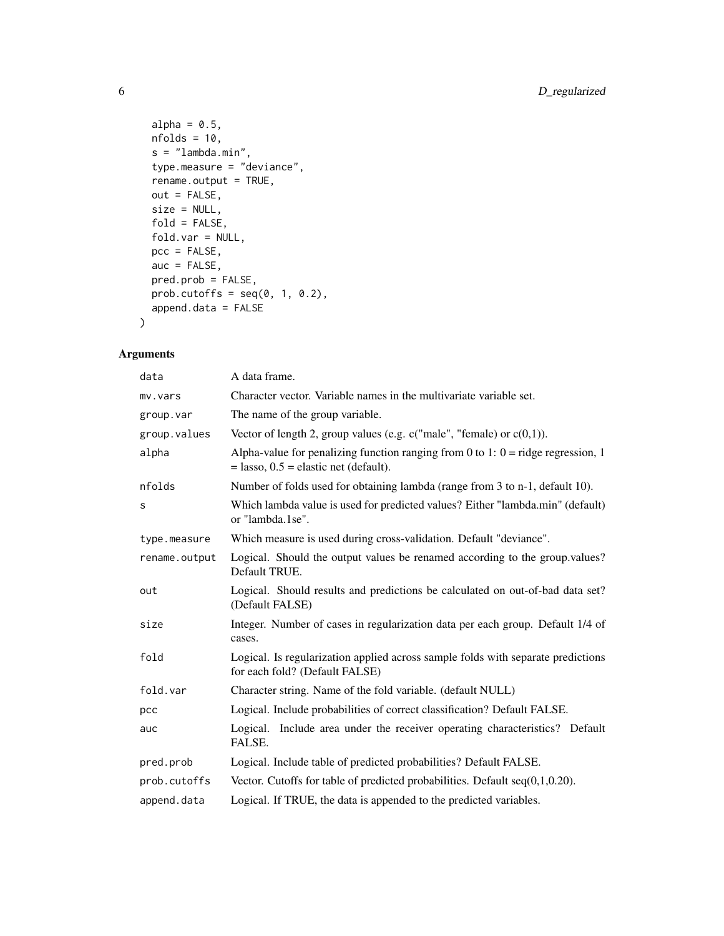```
alpha = 0.5,
 nfolds = 10,s = "lambda.mbda.min",type.measure = "deviance",
  rename.output = TRUE,
 out = FALSE,
 size = NULL,
 fold = FALSE,
 fold.var = NULL,
 pcc = FALSE,auc = FALSE,pred.prob = FALSE,
 prob.cutoffs = seq(0, 1, 0.2),
 append.data = FALSE
\mathcal{L}
```
## Arguments

| data          | A data frame.                                                                                                                 |
|---------------|-------------------------------------------------------------------------------------------------------------------------------|
| mv.vars       | Character vector. Variable names in the multivariate variable set.                                                            |
| group.var     | The name of the group variable.                                                                                               |
| group.values  | Vector of length 2, group values (e.g. $c("male", "female)$ or $c(0,1)$ ).                                                    |
| alpha         | Alpha-value for penalizing function ranging from 0 to 1: $0 =$ ridge regression, 1<br>$=$ lasso, 0.5 = elastic net (default). |
| nfolds        | Number of folds used for obtaining lambda (range from 3 to n-1, default 10).                                                  |
| S             | Which lambda value is used for predicted values? Either "lambda.min" (default)<br>or "lambda.1se".                            |
| type.measure  | Which measure is used during cross-validation. Default "deviance".                                                            |
| rename.output | Logical. Should the output values be renamed according to the group.values?<br>Default TRUE.                                  |
| out           | Logical. Should results and predictions be calculated on out-of-bad data set?<br>(Default FALSE)                              |
| size          | Integer. Number of cases in regularization data per each group. Default 1/4 of<br>cases.                                      |
| fold          | Logical. Is regularization applied across sample folds with separate predictions<br>for each fold? (Default FALSE)            |
| fold.var      | Character string. Name of the fold variable. (default NULL)                                                                   |
| pcc           | Logical. Include probabilities of correct classification? Default FALSE.                                                      |
| auc           | Logical. Include area under the receiver operating characteristics? Default<br>FALSE.                                         |
| pred.prob     | Logical. Include table of predicted probabilities? Default FALSE.                                                             |
| prob.cutoffs  | Vector. Cutoffs for table of predicted probabilities. Default $seq(0,1,0.20)$ .                                               |
| append.data   | Logical. If TRUE, the data is appended to the predicted variables.                                                            |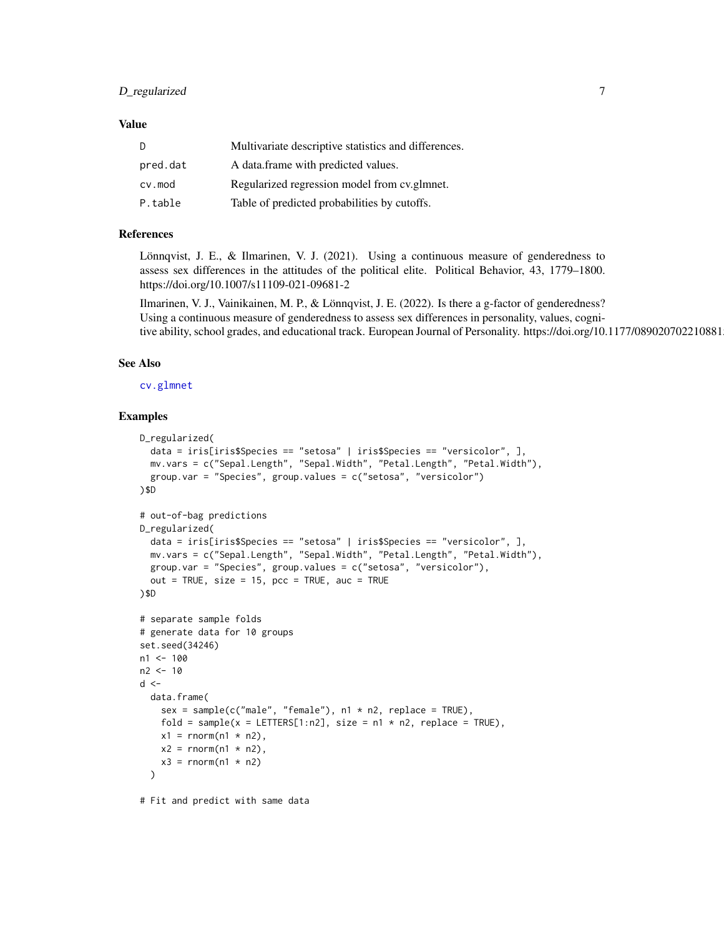#### <span id="page-6-0"></span>D\_regularized 7

#### Value

| -D       | Multivariate descriptive statistics and differences. |
|----------|------------------------------------------------------|
| pred.dat | A data frame with predicted values.                  |
| cv.mod   | Regularized regression model from cv.glmnet.         |
| P.table  | Table of predicted probabilities by cutoffs.         |

## References

Lönnqvist, J. E., & Ilmarinen, V. J. (2021). Using a continuous measure of genderedness to assess sex differences in the attitudes of the political elite. Political Behavior, 43, 1779–1800. https://doi.org/10.1007/s11109-021-09681-2

Ilmarinen, V. J., Vainikainen, M. P., & Lönnqvist, J. E. (2022). Is there a g-factor of genderedness? Using a continuous measure of genderedness to assess sex differences in personality, values, cognitive ability, school grades, and educational track. European Journal of Personality. https://doi.org/10.1177/089020702210881

## See Also

#### [cv.glmnet](#page-0-0)

#### Examples

```
D_regularized(
  data = iris[iris$Species == "setosa" | iris$Species == "versicolor", ],
  mv.vars = c("Sepal.Length", "Sepal.Width", "Petal.Length", "Petal.Width"),
  group.var = "Species", group.values = c("setosa", "versicolor")
)$D
# out-of-bag predictions
D_regularized(
  data = iris[iris$Species == "setosa" | iris$Species == "versicolor", ],
  mv.vars = c("Sepal.Length", "Sepal.Width", "Petal.Length", "Petal.Width"),
  group.var = "Species", group.values = c("setosa", "versicolor"),
  out = TRUE, size = 15, pcc = TRUE, auc = TRUE)$D
# separate sample folds
# generate data for 10 groups
set.seed(34246)
n1 < -100n2 < -10d <-
  data.frame(
    sex = sample(c("male", "female"), n1 * n2, replace = TRUE),fold = sample(x = LETTERS[1:n2], size = n1 * n2, replace = TRUE),
   x1 = \text{norm}(n1 * n2),
   x2 = rnorm(n1 * n2),
    x3 = \text{norm}(n1 * n2))
# Fit and predict with same data
```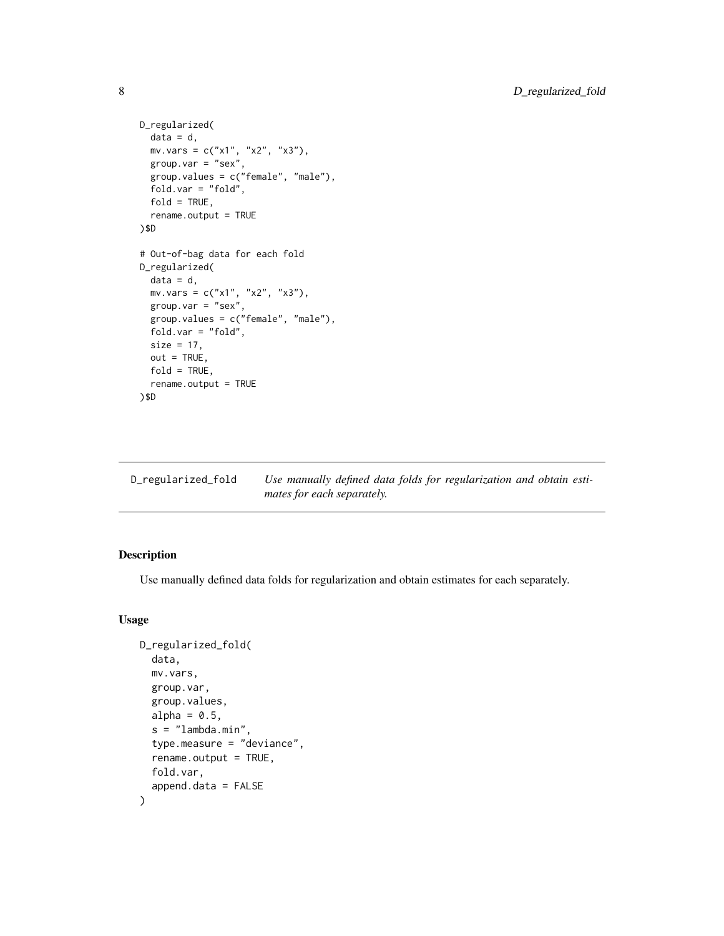```
D_regularized(
  data = d,
 mv.vars = c("x1", "x2", "x3"),
  group.var = "sex",group.values = c("female", "male"),
  fold.var = "fold",
  fold = TRUE,rename.output = TRUE
)$D
# Out-of-bag data for each fold
D_regularized(
  data = d,
  mv.vars = c("x1", "x2", "x3"),
  group.var = "sex",
  group.values = c("female", "male"),
  fold.var = "fold",
  size = 17,out = TRUE,fold = TRUE,
  rename.output = TRUE
)$D
```

| D_regularized_fold | Use manually defined data folds for regularization and obtain esti- |
|--------------------|---------------------------------------------------------------------|
|                    | mates for each separately.                                          |

## Description

Use manually defined data folds for regularization and obtain estimates for each separately.

#### Usage

```
D_regularized_fold(
  data,
 mv.vars,
  group.var,
  group.values,
  alpha = 0.5,
  s = "lambda.min",type.measure = "deviance",
  rename.output = TRUE,
  fold.var,
  append.data = FALSE
)
```
<span id="page-7-0"></span>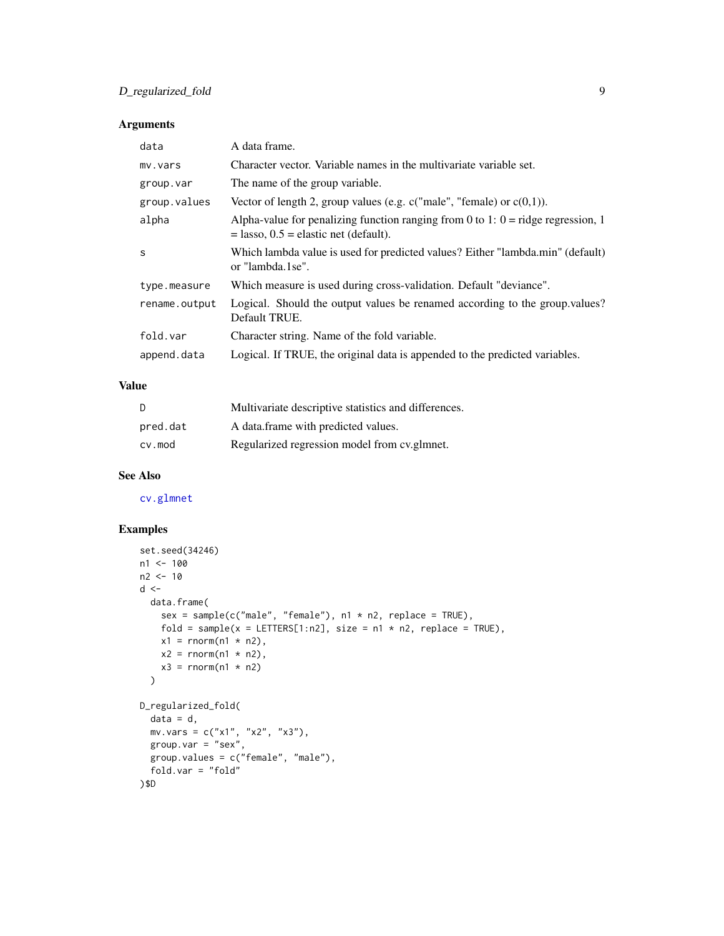## <span id="page-8-0"></span>Arguments

| data          | A data frame.                                                                                                                 |
|---------------|-------------------------------------------------------------------------------------------------------------------------------|
| mv.vars       | Character vector. Variable names in the multivariate variable set.                                                            |
| group.var     | The name of the group variable.                                                                                               |
| group.values  | Vector of length 2, group values (e.g. $c("male", "female)$ or $c(0,1)$ ).                                                    |
| alpha         | Alpha-value for penalizing function ranging from 0 to 1: $0 =$ ridge regression, 1<br>$=$ lasso, 0.5 = elastic net (default). |
| S             | Which lambda value is used for predicted values? Either "lambda.min" (default)<br>or "lambda.1se".                            |
| type.measure  | Which measure is used during cross-validation. Default "deviance".                                                            |
| rename.output | Logical. Should the output values be renamed according to the group values?<br>Default TRUE.                                  |
| fold.var      | Character string. Name of the fold variable.                                                                                  |
| append.data   | Logical. If TRUE, the original data is appended to the predicted variables.                                                   |

## Value

| D        | Multivariate descriptive statistics and differences. |
|----------|------------------------------------------------------|
| pred.dat | A data.frame with predicted values.                  |
| cv.mod   | Regularized regression model from cv.glmnet.         |

## See Also

[cv.glmnet](#page-0-0)

#### Examples

```
set.seed(34246)
n1 < -100n2 <- 10
d <-
  data.frame(
    sex = sample(c("male", "female"), n1 * n2, replace = TRUE),fold = sample(x = LETTER[1:n2], size = n1 * n2, replace = TRUE),x1 = \text{norm}(n1 * n2),x2 = rnorm(n1 * n2),
    x3 = \text{norm}(n1 * n2))
D_regularized_fold(
  data = d,
  mv.vars = c("x1", "x2", "x3"),
  group.var = "sex",group.values = c("female", "male"),
  fold.var = "fold"
)$D
```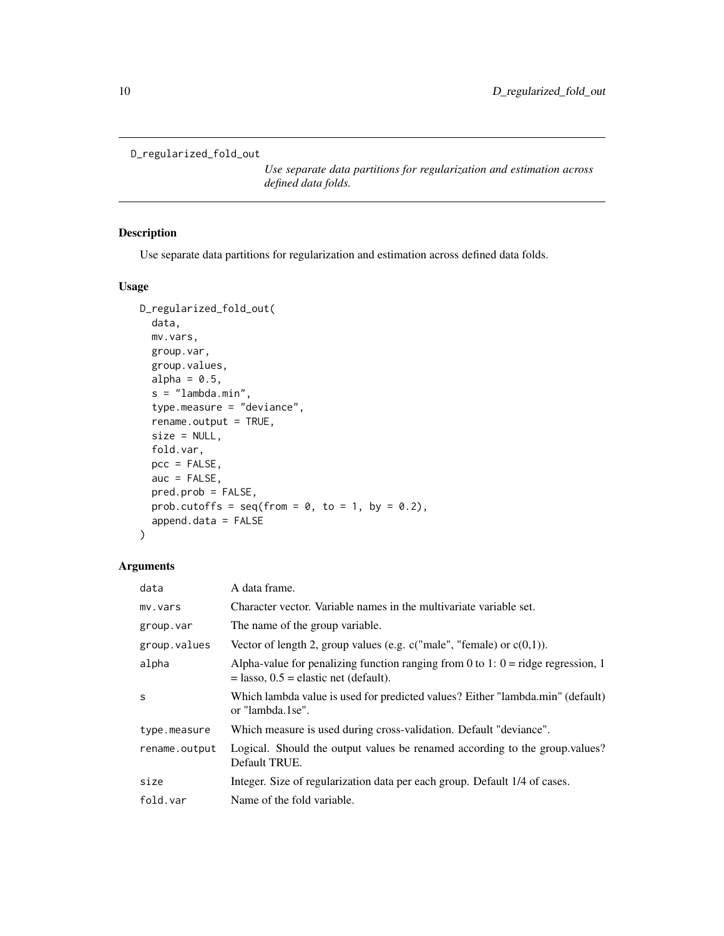```
D_regularized_fold_out
```
*Use separate data partitions for regularization and estimation across defined data folds.*

## Description

Use separate data partitions for regularization and estimation across defined data folds.

## Usage

```
D_regularized_fold_out(
  data,
  mv.vars,
  group.var,
  group.values,
 alpha = 0.5,
  s = "lambda.mbda.min",type.measure = "deviance",
  rename.output = TRUE,
  size = NULL,
  fold.var,
 pcc = FALSE,auc = FALSE,
  pred.prob = FALSE,
 prob.cutoffs = seq(from = 0, to = 1, by = 0.2),
  append.data = FALSE\mathcal{L}
```
## Arguments

| data          | A data frame.                                                                                                                 |
|---------------|-------------------------------------------------------------------------------------------------------------------------------|
| mv.vars       | Character vector. Variable names in the multivariate variable set.                                                            |
| group.var     | The name of the group variable.                                                                                               |
| group.values  | Vector of length 2, group values (e.g. $c("male", "female)$ or $c(0,1)$ ).                                                    |
| alpha         | Alpha-value for penalizing function ranging from 0 to 1: $0 =$ ridge regression, 1<br>$=$ lasso, 0.5 = elastic net (default). |
| S             | Which lambda value is used for predicted values? Either "lambda.min" (default)<br>or "lambda.1se".                            |
| type.measure  | Which measure is used during cross-validation. Default "deviance".                                                            |
| rename.output | Logical. Should the output values be renamed according to the group values?<br>Default TRUE.                                  |
| size          | Integer. Size of regularization data per each group. Default 1/4 of cases.                                                    |
| fold.var      | Name of the fold variable.                                                                                                    |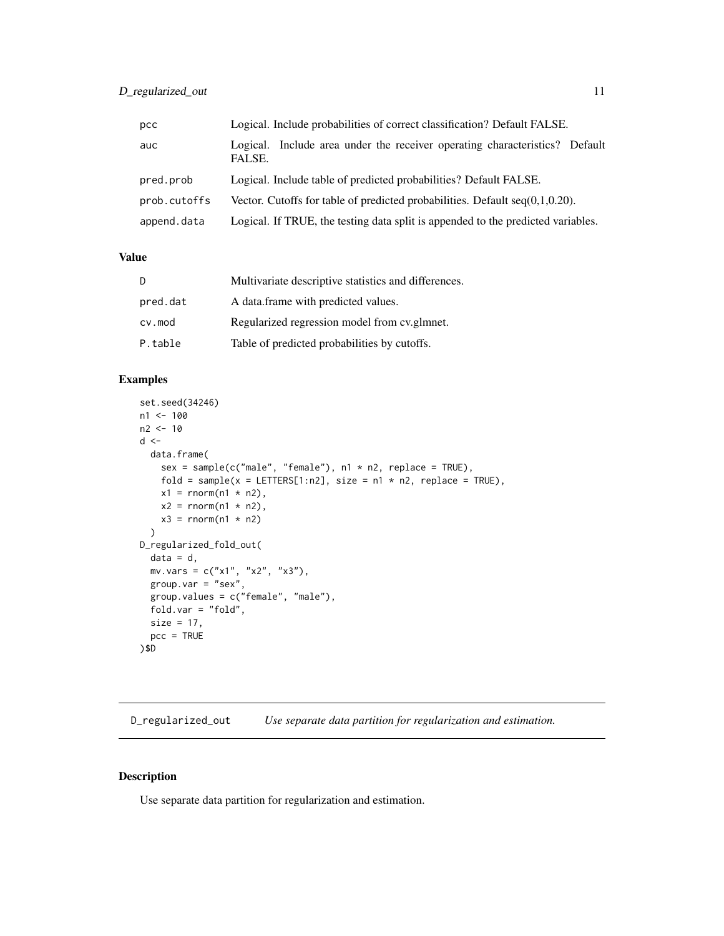## <span id="page-10-0"></span>D\_regularized\_out 11

| pcc          | Logical. Include probabilities of correct classification? Default FALSE.              |
|--------------|---------------------------------------------------------------------------------------|
| auc          | Logical. Include area under the receiver operating characteristics? Default<br>FALSE. |
| pred.prob    | Logical. Include table of predicted probabilities? Default FALSE.                     |
| prob.cutoffs | Vector. Cutoffs for table of predicted probabilities. Default $seq(0,1,0.20)$ .       |
| append.data  | Logical. If TRUE, the testing data split is appended to the predicted variables.      |

## Value

| D        | Multivariate descriptive statistics and differences. |
|----------|------------------------------------------------------|
| pred.dat | A data frame with predicted values.                  |
| cv.mod   | Regularized regression model from cv.glmnet.         |
| P.table  | Table of predicted probabilities by cutoffs.         |

## Examples

```
set.seed(34246)
n1 <- 100
n2 < -10d <-
  data.frame(
    sex = sample(c("male", "female"), n1 * n2, replace = TRUE),fold = sample(x = LETTER[1:n2], size = n1 * n2, replace = TRUE),x1 = \text{norm}(n1 * n2),x2 = rnorm(n1 * n2),
    x3 = rnorm(n1 * n2))
D_regularized_fold_out(
  data = d,
  mv.vars = c("x1", "x2", "x3"),
  group.var = "sex",
  group.values = c("female", "male"),
  fold.var = "fold",
  size = 17,pcc = TRUE
)$D
```
D\_regularized\_out *Use separate data partition for regularization and estimation.*

## Description

Use separate data partition for regularization and estimation.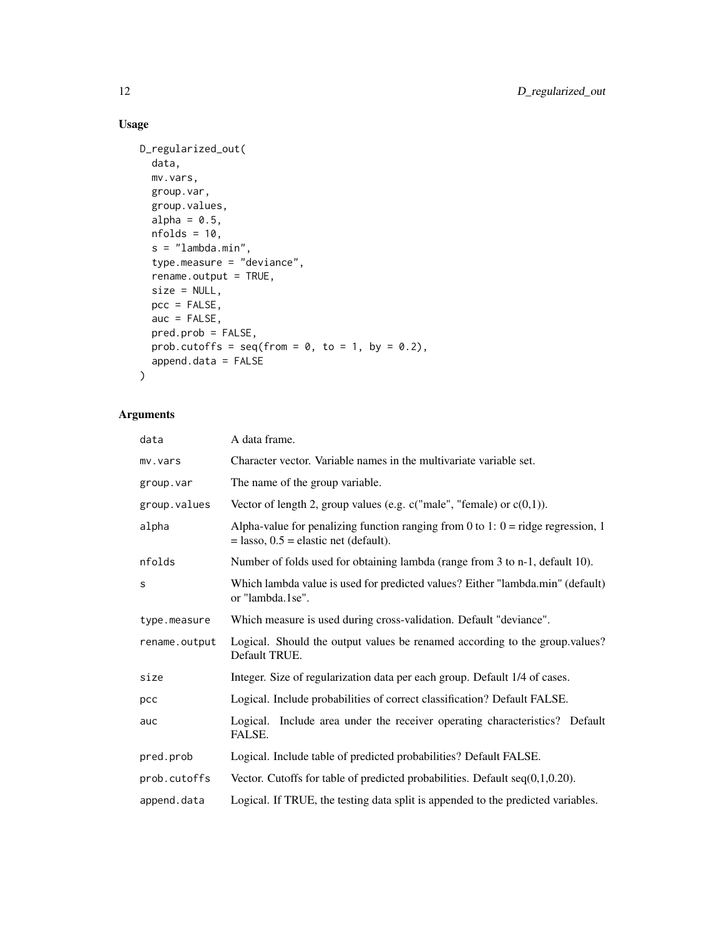## Usage

```
D_regularized_out(
 data,
 mv.vars,
 group.var,
 group.values,
 alpha = 0.5,
 nfolds = 10,
 s = "lambda.min",
 type.measure = "deviance",
 rename.output = TRUE,
 size = NULL,
 pcc = FALSE,
 auc = FALSE,pred.prob = FALSE,
 prob.cutoffs = seq(from = 0, to = 1, by = 0.2),
 append.data = FALSE
)
```
## Arguments

| data          | A data frame.                                                                                                                 |
|---------------|-------------------------------------------------------------------------------------------------------------------------------|
| mv.vars       | Character vector. Variable names in the multivariate variable set.                                                            |
| group.var     | The name of the group variable.                                                                                               |
| group.values  | Vector of length 2, group values (e.g. $c("male", "female)$ or $c(0,1)$ ).                                                    |
| alpha         | Alpha-value for penalizing function ranging from 0 to 1: $0 =$ ridge regression, 1<br>$=$ lasso, 0.5 = elastic net (default). |
| nfolds        | Number of folds used for obtaining lambda (range from 3 to n-1, default 10).                                                  |
| S             | Which lambda value is used for predicted values? Either "lambda.min" (default)<br>or "lambda.1se".                            |
| type.measure  | Which measure is used during cross-validation. Default "deviance".                                                            |
| rename.output | Logical. Should the output values be renamed according to the group.values?<br>Default TRUE.                                  |
| size          | Integer. Size of regularization data per each group. Default 1/4 of cases.                                                    |
| pcc           | Logical. Include probabilities of correct classification? Default FALSE.                                                      |
| auc           | Logical. Include area under the receiver operating characteristics? Default<br>FALSE.                                         |
| pred.prob     | Logical. Include table of predicted probabilities? Default FALSE.                                                             |
| prob.cutoffs  | Vector. Cutoffs for table of predicted probabilities. Default $seq(0,1,0.20)$ .                                               |
| append.data   | Logical. If TRUE, the testing data split is appended to the predicted variables.                                              |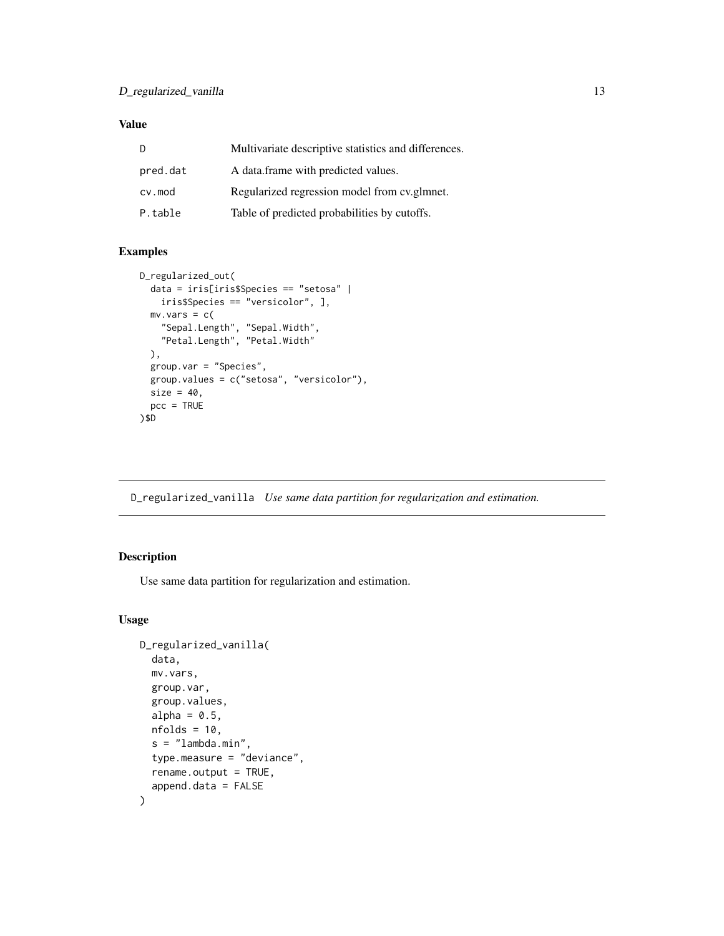## <span id="page-12-0"></span>Value

| D        | Multivariate descriptive statistics and differences. |
|----------|------------------------------------------------------|
| pred.dat | A data frame with predicted values.                  |
| cv.mod   | Regularized regression model from cv.glmnet.         |
| P.table  | Table of predicted probabilities by cutoffs.         |

## Examples

```
D_regularized_out(
 data = iris[iris$Species == "setosa" |
   iris$Species == "versicolor", ],
  mv \cdot vars = c("Sepal.Length", "Sepal.Width",
    "Petal.Length", "Petal.Width"
  ),
  group.var = "Species",
  group.values = c("setosa", "versicolor"),
  size = 40,pcc = TRUE
)$D
```
D\_regularized\_vanilla *Use same data partition for regularization and estimation.*

## Description

Use same data partition for regularization and estimation.

#### Usage

```
D_regularized_vanilla(
  data,
 mv.vars,
 group.var,
  group.values,
  alpha = 0.5,
  nfolds = 10,
  s = "lambda.min",type.measure = "deviance",
  rename.output = TRUE,
  append.data = FALSE
\mathcal{E}
```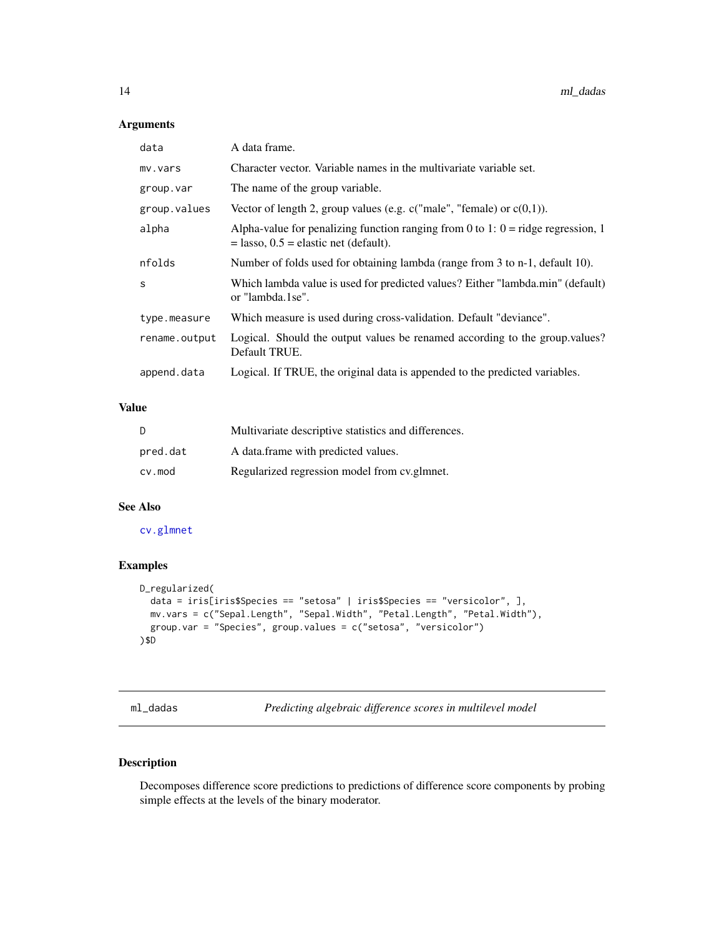## <span id="page-13-0"></span>Arguments

| data          | A data frame.                                                                                                                 |
|---------------|-------------------------------------------------------------------------------------------------------------------------------|
| mv.vars       | Character vector. Variable names in the multivariate variable set.                                                            |
| group.var     | The name of the group variable.                                                                                               |
| group.values  | Vector of length 2, group values (e.g. $c("male", "female)$ or $c(0,1)$ ).                                                    |
| alpha         | Alpha-value for penalizing function ranging from 0 to 1: $0 =$ ridge regression, 1<br>$=$ lasso, 0.5 = elastic net (default). |
| nfolds        | Number of folds used for obtaining lambda (range from 3 to n-1, default 10).                                                  |
| S             | Which lambda value is used for predicted values? Either "lambda.min" (default)<br>or "lambda.1se".                            |
| type.measure  | Which measure is used during cross-validation. Default "deviance".                                                            |
| rename.output | Logical. Should the output values be renamed according to the group values?<br>Default TRUE.                                  |
| append.data   | Logical. If TRUE, the original data is appended to the predicted variables.                                                   |
|               |                                                                                                                               |

## Value

| D        | Multivariate descriptive statistics and differences. |
|----------|------------------------------------------------------|
| pred.dat | A data.frame with predicted values.                  |
| cv.mod   | Regularized regression model from cv.glmnet.         |

## See Also

#### [cv.glmnet](#page-0-0)

## Examples

```
D_regularized(
 data = iris[iris$Species == "setosa" | iris$Species == "versicolor", ],
  mv.vars = c("Sepal.Length", "Sepal.Width", "Petal.Length", "Petal.Width"),
  group.var = "Species", group.values = c("setosa", "versicolor")
)$D
```
ml\_dadas *Predicting algebraic difference scores in multilevel model*

## Description

Decomposes difference score predictions to predictions of difference score components by probing simple effects at the levels of the binary moderator.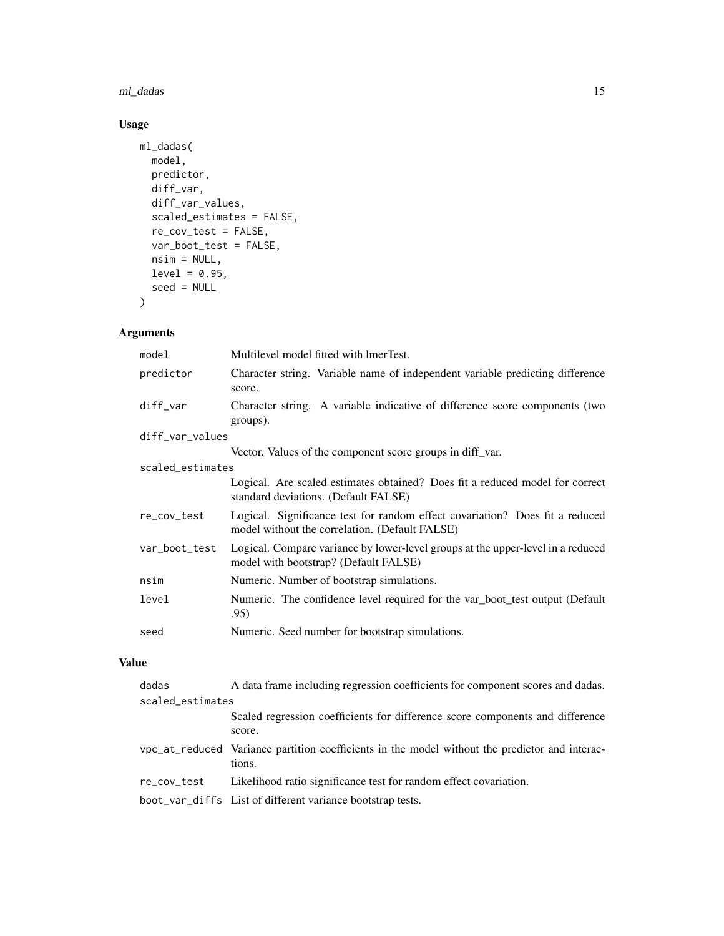#### ml\_dadas 15

## Usage

```
ml_dadas(
  model,
 predictor,
  diff_var,
  diff_var_values,
  scaled_estimates = FALSE,
  re_cov_test = FALSE,
  var_boot_test = FALSE,
  nsim = NULL,
  level = 0.95,seed = NULL
\mathcal{L}
```
## Arguments

| model            | Multilevel model fitted with lmerTest.                                                                                         |  |
|------------------|--------------------------------------------------------------------------------------------------------------------------------|--|
| predictor        | Character string. Variable name of independent variable predicting difference<br>score.                                        |  |
| diff_var         | Character string. A variable indicative of difference score components (two<br>groups).                                        |  |
| diff_var_values  |                                                                                                                                |  |
|                  | Vector. Values of the component score groups in diff_var.                                                                      |  |
| scaled_estimates |                                                                                                                                |  |
|                  | Logical. Are scaled estimates obtained? Does fit a reduced model for correct<br>standard deviations. (Default FALSE)           |  |
| re_cov_test      | Logical. Significance test for random effect covariation? Does fit a reduced<br>model without the correlation. (Default FALSE) |  |
| var_boot_test    | Logical. Compare variance by lower-level groups at the upper-level in a reduced<br>model with bootstrap? (Default FALSE)       |  |
| nsim             | Numeric. Number of bootstrap simulations.                                                                                      |  |
| level            | Numeric. The confidence level required for the var_boot_test output (Default<br>.95)                                           |  |
| seed             | Numeric. Seed number for bootstrap simulations.                                                                                |  |

## Value

| dadas       | A data frame including regression coefficients for component scores and dadas.                           |  |  |
|-------------|----------------------------------------------------------------------------------------------------------|--|--|
|             | scaled_estimates                                                                                         |  |  |
|             | Scaled regression coefficients for difference score components and difference<br>score.                  |  |  |
|             | vpc_at_reduced Variance partition coefficients in the model without the predictor and interac-<br>tions. |  |  |
| re_cov_test | Likelihood ratio significance test for random effect covariation.                                        |  |  |
|             | boot_var_diffs List of different variance bootstrap tests.                                               |  |  |
|             |                                                                                                          |  |  |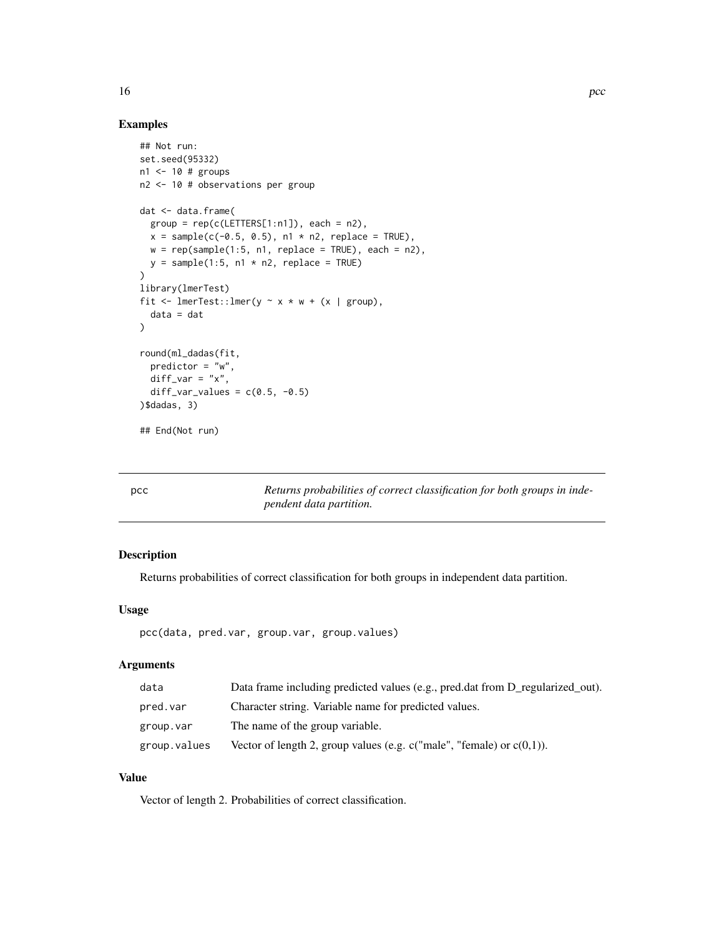#### Examples

```
## Not run:
set.seed(95332)
n1 <- 10 # groups
n2 <- 10 # observations per group
dat <- data.frame(
  group = rep(c(LETTERS[1:n1]), each = n2),x = sample(c(-0.5, 0.5), n1 * n2, replace = TRUE),w = rep(sample(1:5, n1, replace = TRUE), each = n2),y = sample(1:5, n1 * n2, replace = TRUE))
library(lmerTest)
fit \leq lmerTest::lmer(y \sim x \star w + (x | group),
  data = dat
)
round(ml_dadas(fit,
  predictor = \sqrt[n]{w},
  diff\_var = "x",diff_var_values = c(0.5, -0.5))$dadas, 3)
## End(Not run)
```
pcc *Returns probabilities of correct classification for both groups in independent data partition.*

## Description

Returns probabilities of correct classification for both groups in independent data partition.

#### Usage

```
pcc(data, pred.var, group.var, group.values)
```
#### Arguments

| data         | Data frame including predicted values (e.g., pred.dat from D_regularized_out). |
|--------------|--------------------------------------------------------------------------------|
| pred.var     | Character string. Variable name for predicted values.                          |
| group.var    | The name of the group variable.                                                |
| group.values | Vector of length 2, group values (e.g. $c("male", "female)$ or $c(0,1)$ ).     |

## Value

Vector of length 2. Probabilities of correct classification.

<span id="page-15-0"></span>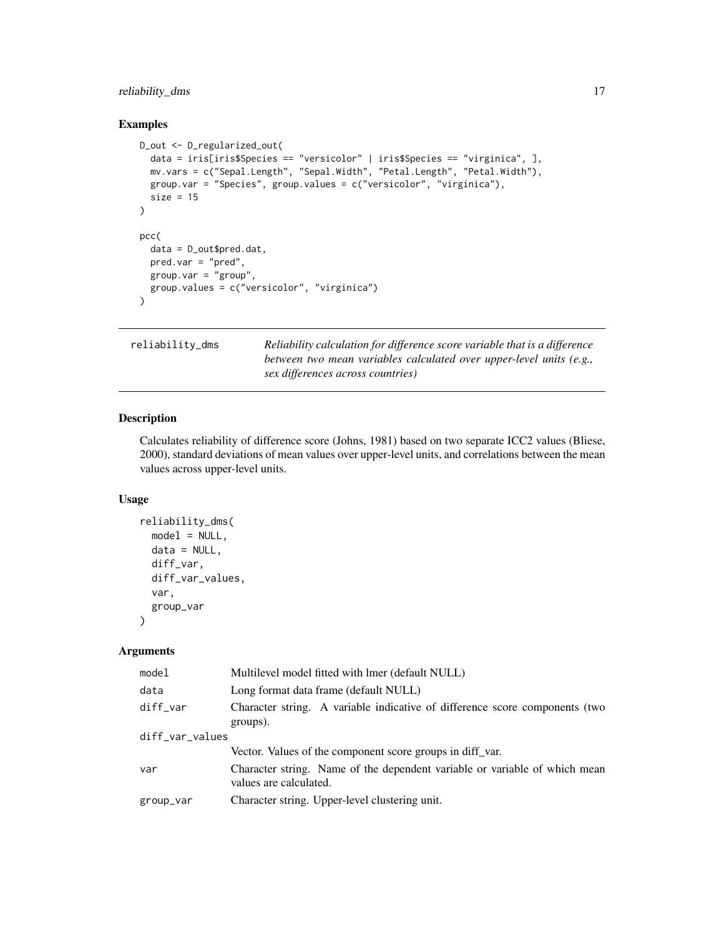## <span id="page-16-0"></span>reliability\_dms 17

#### Examples

```
D_out <- D_regularized_out(
  data = iris[iris$Species == "versicolor" | iris$Species == "virginica", ],
  mv.vars = c("Sepal.Length", "Sepal.Width", "Petal.Length", "Petal.Width"),
  group.var = "Species", group.values = c("version", "virginica"),
  size = 15\lambdapcc(
  data = D_out$pred.dat,
  pred.var = "pred",
  group.var = "group",
  group.values = c("versicolor", "virginica")
\mathcal{L}
```
reliability\_dms *Reliability calculation for difference score variable that is a difference between two mean variables calculated over upper-level units (e.g., sex differences across countries)*

## Description

Calculates reliability of difference score (Johns, 1981) based on two separate ICC2 values (Bliese, 2000), standard deviations of mean values over upper-level units, and correlations between the mean values across upper-level units.

## Usage

```
reliability_dms(
 model = NULL,data = NULL,
 diff_var,
 diff_var_values,
  var,
 group_var
)
```
#### Arguments

| model           | Multilevel model fitted with lmer (default NULL)                                                     |  |
|-----------------|------------------------------------------------------------------------------------------------------|--|
| data            | Long format data frame (default NULL)                                                                |  |
| diff_var        | Character string. A variable indicative of difference score components (two<br>groups).              |  |
| diff_var_values |                                                                                                      |  |
|                 | Vector. Values of the component score groups in diff_var.                                            |  |
| var             | Character string. Name of the dependent variable or variable of which mean<br>values are calculated. |  |
| group_var       | Character string. Upper-level clustering unit.                                                       |  |
|                 |                                                                                                      |  |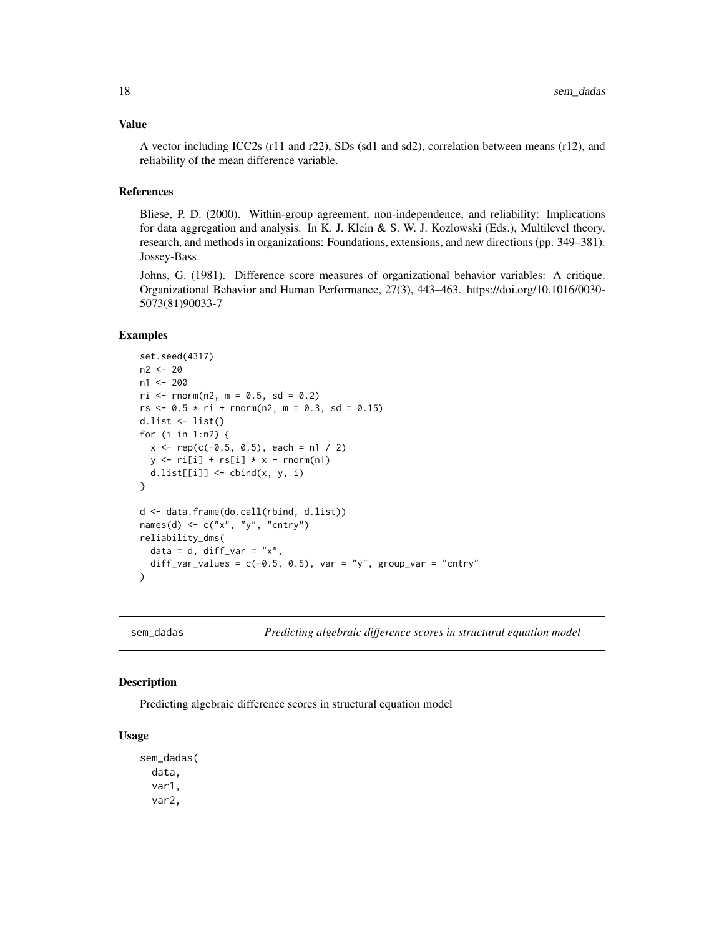#### <span id="page-17-0"></span>Value

A vector including ICC2s (r11 and r22), SDs (sd1 and sd2), correlation between means (r12), and reliability of the mean difference variable.

#### References

Bliese, P. D. (2000). Within-group agreement, non-independence, and reliability: Implications for data aggregation and analysis. In K. J. Klein & S. W. J. Kozlowski (Eds.), Multilevel theory, research, and methods in organizations: Foundations, extensions, and new directions (pp. 349–381). Jossey-Bass.

Johns, G. (1981). Difference score measures of organizational behavior variables: A critique. Organizational Behavior and Human Performance, 27(3), 443–463. https://doi.org/10.1016/0030- 5073(81)90033-7

#### Examples

```
set.seed(4317)
n2 <- 20
n1 < -200ri <- rnonm(n2, m = 0.5, sd = 0.2)rs \le 0.5 * ri + rnorm(n2, m = 0.3, sd = 0.15)d.list <- list()
for (i in 1:n2) {
  x \leq -\text{rep}(c(-0.5, 0.5), \text{ each } = n1 / 2)y \leftarrow ri[i] + rs[i] * x + rnorm(n1)d.list[[i]] \leftarrow \text{cbind}(x, y, i)}
d <- data.frame(do.call(rbind, d.list))
names(d) <- c("x", "y", "cntry")
reliability_dms(
  data = d, diff_var = "x",
  diff_var_values = c(-0.5, 0.5), var = "y", group_var = "cntry"
)
```
sem\_dadas *Predicting algebraic difference scores in structural equation model*

#### Description

Predicting algebraic difference scores in structural equation model

#### Usage

```
sem_dadas(
  data,
  var1,
  var2,
```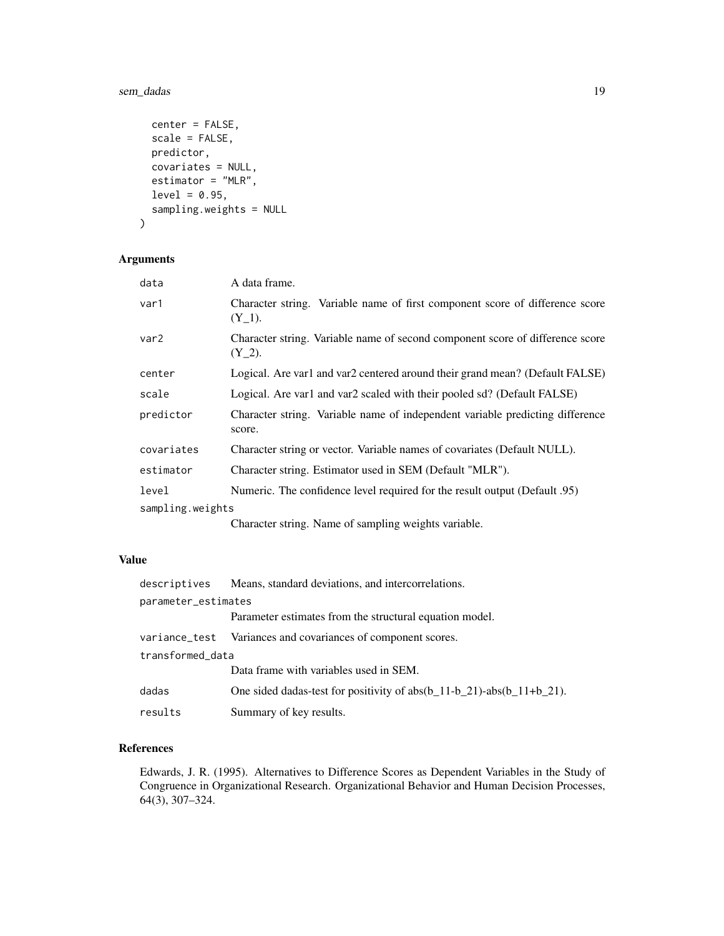## sem\_dadas 19

```
center = FALSE,
 scale = FALSE,
 predictor,
 covariates = NULL,
 estimator = "MLR",level = 0.95,sampling.weights = NULL
)
```
## Arguments

| data             | A data frame.                                                                              |
|------------------|--------------------------------------------------------------------------------------------|
| var1             | Character string. Variable name of first component score of difference score<br>$(Y_1)$ .  |
| var2             | Character string. Variable name of second component score of difference score<br>$(Y_2)$ . |
| center           | Logical. Are var1 and var2 centered around their grand mean? (Default FALSE)               |
| scale            | Logical. Are var1 and var2 scaled with their pooled sd? (Default FALSE)                    |
| predictor        | Character string. Variable name of independent variable predicting difference<br>score.    |
| covariates       | Character string or vector. Variable names of covariates (Default NULL).                   |
| estimator        | Character string. Estimator used in SEM (Default "MLR").                                   |
| level            | Numeric. The confidence level required for the result output (Default .95)                 |
| sampling.weights |                                                                                            |
|                  | Character string. Name of sampling weights variable.                                       |

## Value

| descriptives        | Means, standard deviations, and intercorrelations.                         |
|---------------------|----------------------------------------------------------------------------|
| parameter_estimates |                                                                            |
|                     | Parameter estimates from the structural equation model.                    |
|                     | variance test Variances and covariances of component scores.               |
| transformed_data    |                                                                            |
|                     | Data frame with variables used in SEM.                                     |
| dadas               | One sided dadas-test for positivity of $abs(b_11-b_21) - abs(b_11+b_21)$ . |
| results             | Summary of key results.                                                    |

## References

Edwards, J. R. (1995). Alternatives to Difference Scores as Dependent Variables in the Study of Congruence in Organizational Research. Organizational Behavior and Human Decision Processes, 64(3), 307–324.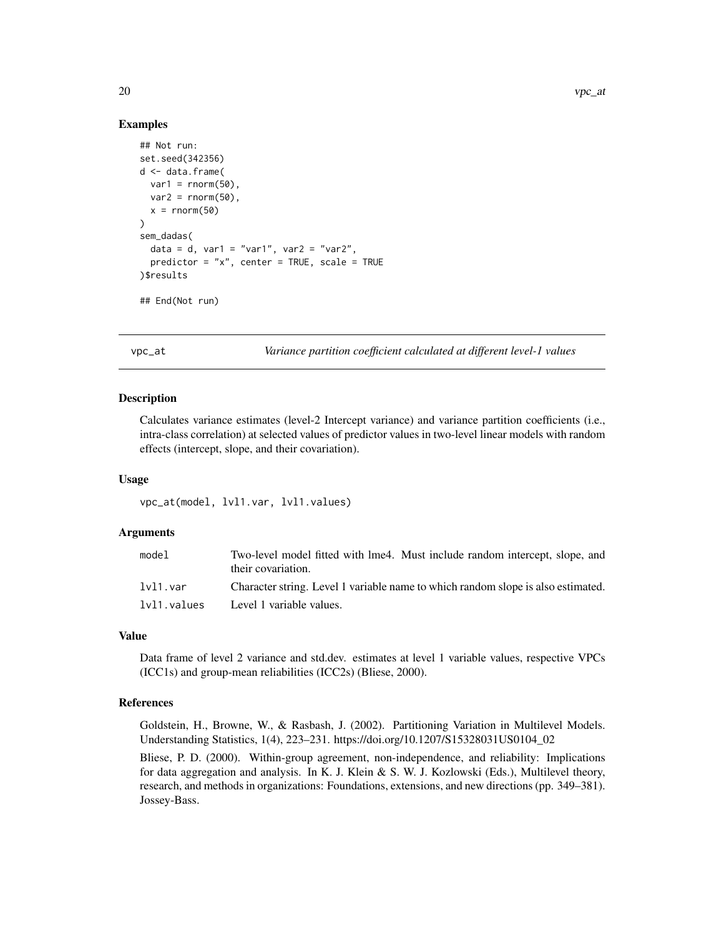#### Examples

```
## Not run:
set.seed(342356)
d <- data.frame(
 var1 = rnorm(50),
 var2 = rnorm(50),
 x = \text{norm}(50))
sem_dadas(
 data = d, var1 = "var1", var2 = "var2",
 predictor = "x", center = TRUE, scale = TRUE
)$results
## End(Not run)
```
vpc\_at *Variance partition coefficient calculated at different level-1 values*

#### Description

Calculates variance estimates (level-2 Intercept variance) and variance partition coefficients (i.e., intra-class correlation) at selected values of predictor values in two-level linear models with random effects (intercept, slope, and their covariation).

#### Usage

```
vpc_at(model, lvl1.var, lvl1.values)
```
#### Arguments

| model       | Two-level model fitted with lme4. Must include random intercept, slope, and      |
|-------------|----------------------------------------------------------------------------------|
|             | their covariation.                                                               |
| lvl1.var    | Character string. Level 1 variable name to which random slope is also estimated. |
| lvl1.values | Level 1 variable values.                                                         |

#### Value

Data frame of level 2 variance and std.dev. estimates at level 1 variable values, respective VPCs (ICC1s) and group-mean reliabilities (ICC2s) (Bliese, 2000).

## References

Goldstein, H., Browne, W., & Rasbash, J. (2002). Partitioning Variation in Multilevel Models. Understanding Statistics, 1(4), 223–231. https://doi.org/10.1207/S15328031US0104\_02

Bliese, P. D. (2000). Within-group agreement, non-independence, and reliability: Implications for data aggregation and analysis. In K. J. Klein & S. W. J. Kozlowski (Eds.), Multilevel theory, research, and methods in organizations: Foundations, extensions, and new directions (pp. 349–381). Jossey-Bass.

<span id="page-19-0"></span>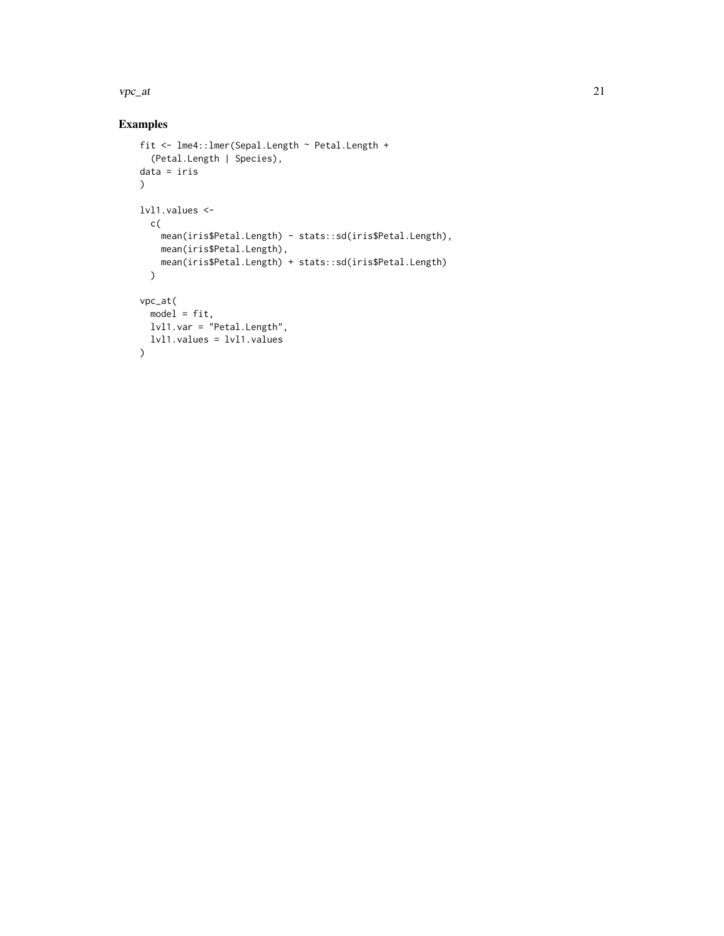#### $\text{vpc}_{\text{a}}$ at  $\qquad \qquad$  21

## Examples

```
fit <- lme4::lmer(Sepal.Length ~ Petal.Length +
  (Petal.Length | Species),
data = iris
\lambdalvl1.values <-
  c(
   mean(iris$Petal.Length) - stats::sd(iris$Petal.Length),
   mean(iris$Petal.Length),
    mean(iris$Petal.Length) + stats::sd(iris$Petal.Length)
  \lambdavpc_at(
 model = fit,lvl1.var = "Petal.Length",
 lvl1.values = lvl1.values
)
```